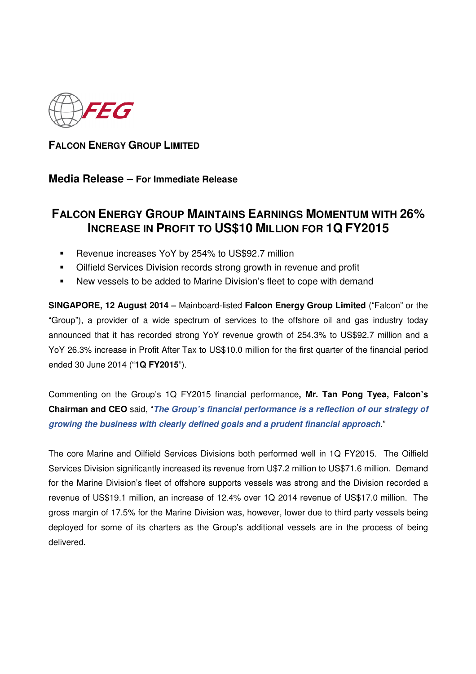

**FALCON ENERGY GROUP LIMITED**

## **Media Release – For Immediate Release**

# **FALCON ENERGY GROUP MAINTAINS EARNINGS MOMENTUM WITH 26% INCREASE IN PROFIT TO US\$10 MILLION FOR 1Q FY2015**

- **EXECUTE:** Revenue increases YoY by 254% to US\$92.7 million
- Oilfield Services Division records strong growth in revenue and profit
- New vessels to be added to Marine Division's fleet to cope with demand

**SINGAPORE, 12 August 2014 –** Mainboard-listed **Falcon Energy Group Limited** ("Falcon" or the "Group"), a provider of a wide spectrum of services to the offshore oil and gas industry today announced that it has recorded strong YoY revenue growth of 254.3% to US\$92.7 million and a YoY 26.3% increase in Profit After Tax to US\$10.0 million for the first quarter of the financial period ended 30 June 2014 ("**1Q FY2015**").

Commenting on the Group's 1Q FY2015 financial performance**, Mr. Tan Pong Tyea, Falcon's Chairman and CEO** said, "**The Group's financial performance is a reflection of our strategy of growing the business with clearly defined goals and a prudent financial approach**."

The core Marine and Oilfield Services Divisions both performed well in 1Q FY2015. The Oilfield Services Division significantly increased its revenue from U\$7.2 million to US\$71.6 million. Demand for the Marine Division's fleet of offshore supports vessels was strong and the Division recorded a revenue of US\$19.1 million, an increase of 12.4% over 1Q 2014 revenue of US\$17.0 million. The gross margin of 17.5% for the Marine Division was, however, lower due to third party vessels being deployed for some of its charters as the Group's additional vessels are in the process of being delivered.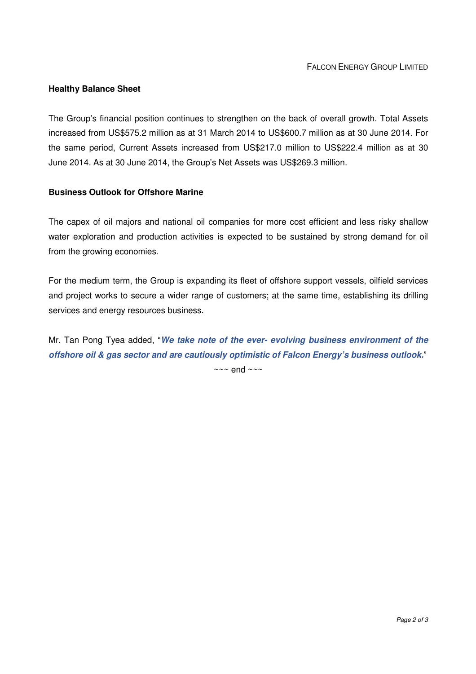### **Healthy Balance Sheet**

The Group's financial position continues to strengthen on the back of overall growth. Total Assets increased from US\$575.2 million as at 31 March 2014 to US\$600.7 million as at 30 June 2014. For the same period, Current Assets increased from US\$217.0 million to US\$222.4 million as at 30 June 2014. As at 30 June 2014, the Group's Net Assets was US\$269.3 million.

### **Business Outlook for Offshore Marine**

The capex of oil majors and national oil companies for more cost efficient and less risky shallow water exploration and production activities is expected to be sustained by strong demand for oil from the growing economies.

For the medium term, the Group is expanding its fleet of offshore support vessels, oilfield services and project works to secure a wider range of customers; at the same time, establishing its drilling services and energy resources business.

Mr. Tan Pong Tyea added, "**We take note of the ever- evolving business environment of the offshore oil & gas sector and are cautiously optimistic of Falcon Energy's business outlook.**"

 $\sim$  ~ end ~~~